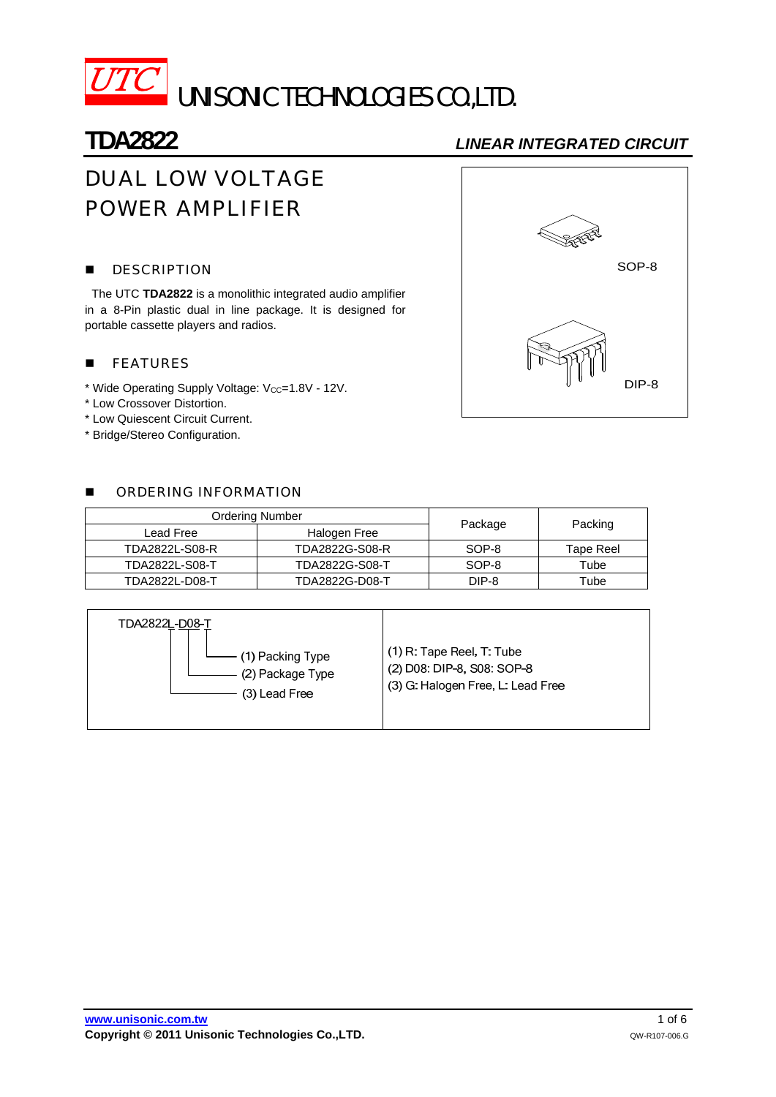

# **TDA2822** *LINEAR INTEGRATED CIRCUIT*

# DUAL LOW VOLTAGE POWER AMPLIFIER

### **DESCRIPTION**

The UTC **TDA2822** is a monolithic integrated audio amplifier in a 8-Pin plastic dual in line package. It is designed for portable cassette players and radios.

### **FEATURES**

- \* Wide Operating Supply Voltage:  $V_{CC}=1.8V 12V$ .
- \* Low Crossover Distortion.
- \* Low Quiescent Circuit Current.
- \* Bridge/Stereo Configuration.

### **B** ORDERING INFORMATION

| <b>Ordering Number</b> |                |         |           |  |
|------------------------|----------------|---------|-----------|--|
| Lead Free              | Halogen Free   | Package | Packing   |  |
| TDA2822L-S08-R         | TDA2822G-S08-R | SOP-8   | Tape Reel |  |
| TDA2822L-S08-T         | TDA2822G-S08-T | SOP-8   | Tube      |  |
| TDA2822L-D08-T         | TDA2822G-D08-T | DIP-8   | Tube      |  |



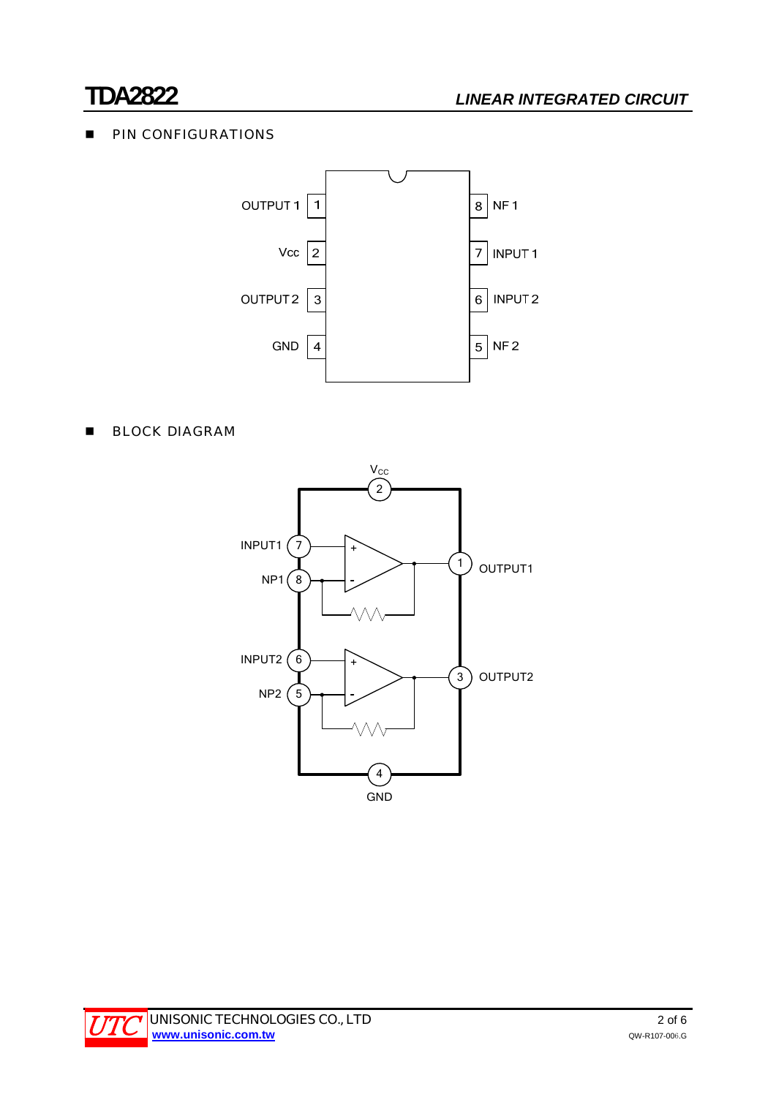# **PIN CONFIGURATIONS**



## **BLOCK DIAGRAM**



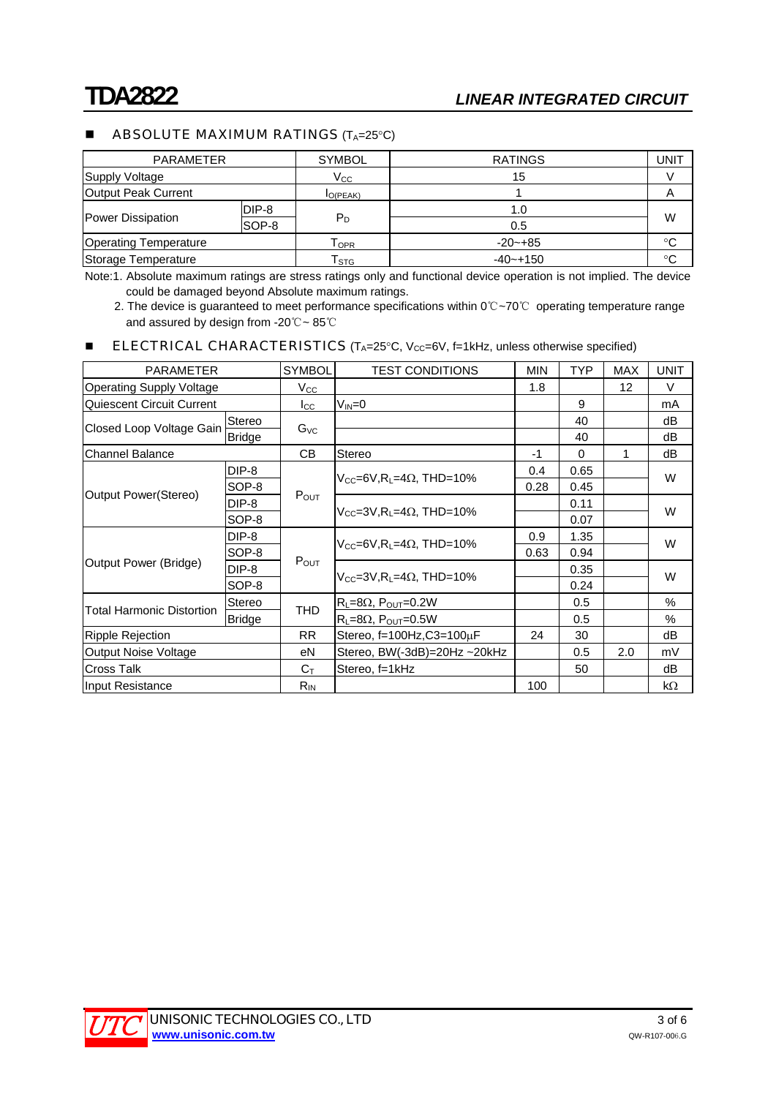### **ABSOLUTE MAXIMUM RATINGS**  $(T_A=25^{\circ}C)$

| <b>PARAMETER</b>             |       | <b>SYMBOL</b>               | <b>RATINGS</b> | JNIT        |  |
|------------------------------|-------|-----------------------------|----------------|-------------|--|
| <b>Supply Voltage</b>        |       | $V_{\rm CC}$                | 15             |             |  |
| Output Peak Current          |       | $I_{O(PEAK)}$               |                | A           |  |
| Power Dissipation            | DIP-8 |                             | 1.0            | W           |  |
|                              | SOP-8 | $P_D$                       | 0.5            |             |  |
| <b>Operating Temperature</b> |       | Горк                        | $-20 - +85$    | $^{\circ}C$ |  |
| Storage Temperature          |       | $\mathsf{T}_{\textsf{STG}}$ | $-40 - + 150$  | $^{\circ}C$ |  |

Note:1. Absolute maximum ratings are stress ratings only and functional device operation is not implied. The device could be damaged beyond Absolute maximum ratings.

2. The device is guaranteed to meet performance specifications within 0℃~70℃ operating temperature range and assured by design from -20℃~ 85℃

### **ELECTRICAL CHARACTERISTICS** ( $T_A=25^\circ$ C,  $V_{CC}=6V$ ,  $f=1$ kHz, unless otherwise specified)

| <b>PARAMETER</b>                 |               | <b>SYMBOL</b>    | <b>TEST CONDITIONS</b>                                | <b>MIN</b> | TYP      | <b>MAX</b> | <b>UNIT</b> |
|----------------------------------|---------------|------------------|-------------------------------------------------------|------------|----------|------------|-------------|
| <b>Operating Supply Voltage</b>  |               | $V_{\rm CC}$     |                                                       | 1.8        |          | 12         | V           |
| <b>Quiescent Circuit Current</b> |               | $I_{\rm CC}$     | $V_{IN} = 0$                                          |            | 9        |            | mA          |
| Closed Loop Voltage Gain         | Stereo        | $G_{\text{VC}}$  |                                                       |            | 40       |            | dB          |
|                                  | Bridge        |                  |                                                       |            | 40       |            | dB          |
| <b>Channel Balance</b>           |               | <b>CB</b>        | Stereo                                                | -1         | $\Omega$ | 1          | dB          |
| Output Power(Stereo)             | DIP-8         | $P_{OUT}$        | $V_{CC}$ =6V, R <sub>1</sub> =4 $\Omega$ , THD=10%    | 0.4        | 0.65     |            | W           |
|                                  | SOP-8         |                  |                                                       | 0.28       | 0.45     |            |             |
|                                  | $DIP-8$       |                  | $V_{CC}$ =3V, R <sub>L</sub> =4 $\Omega$ , THD=10%    |            | 0.11     |            | W           |
|                                  | SOP-8         |                  |                                                       |            | 0.07     |            |             |
| Output Power (Bridge)            | $DIP-8$       | $P_{OUT}$        | $V_{CC} = 6V$ , R <sub>1</sub> = 4 $\Omega$ , THD=10% | 0.9        | 1.35     |            | W           |
|                                  | SOP-8         |                  |                                                       | 0.63       | 0.94     |            |             |
|                                  | DIP-8         |                  | $V_{CC} = 3V$ , $R_1 = 4\Omega$ , THD=10%             |            | 0.35     |            | W           |
|                                  | SOP-8         |                  |                                                       |            | 0.24     |            |             |
| Total Harmonic Distortion        | Stereo        | <b>THD</b>       | $R_L = 8\Omega$ , $P_{OUT} = 0.2W$                    |            | 0.5      |            | $\%$        |
|                                  | <b>Bridge</b> |                  | $R_L = 8\Omega$ , $P_{OUT} = 0.5W$                    |            | 0.5      |            | $\%$        |
| <b>Ripple Rejection</b>          |               | RR.              | Stereo, $f=100$ Hz, $C3=100 \mu F$                    | 24         | 30       |            | dB          |
| <b>Output Noise Voltage</b>      |               | еN               | Stereo, BW(-3dB)=20Hz ~20kHz                          |            | 0.5      | 2.0        | mV          |
| <b>Cross Talk</b>                |               | $C_{\mathsf{T}}$ | Stereo, f=1kHz                                        |            | 50       |            | dB          |
| Input Resistance                 |               | $R_{IN}$         |                                                       | 100        |          |            | $k\Omega$   |

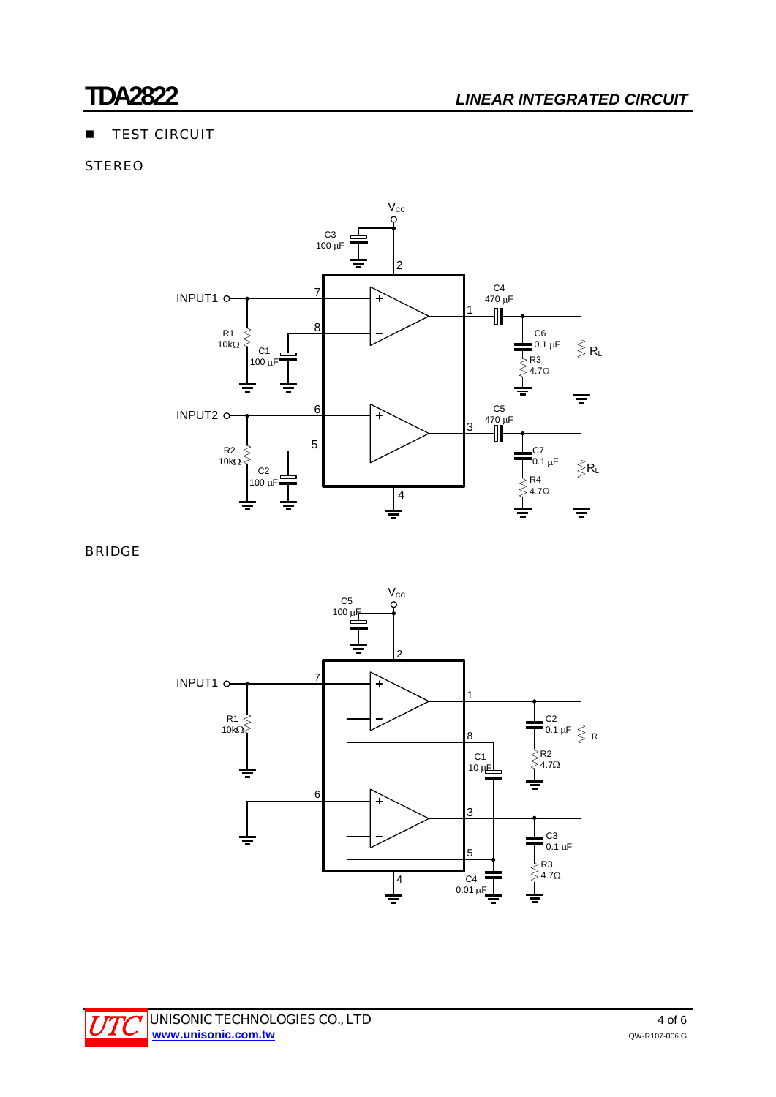# **TEST CIRCUIT**

# **STEREO**



BRIDGE



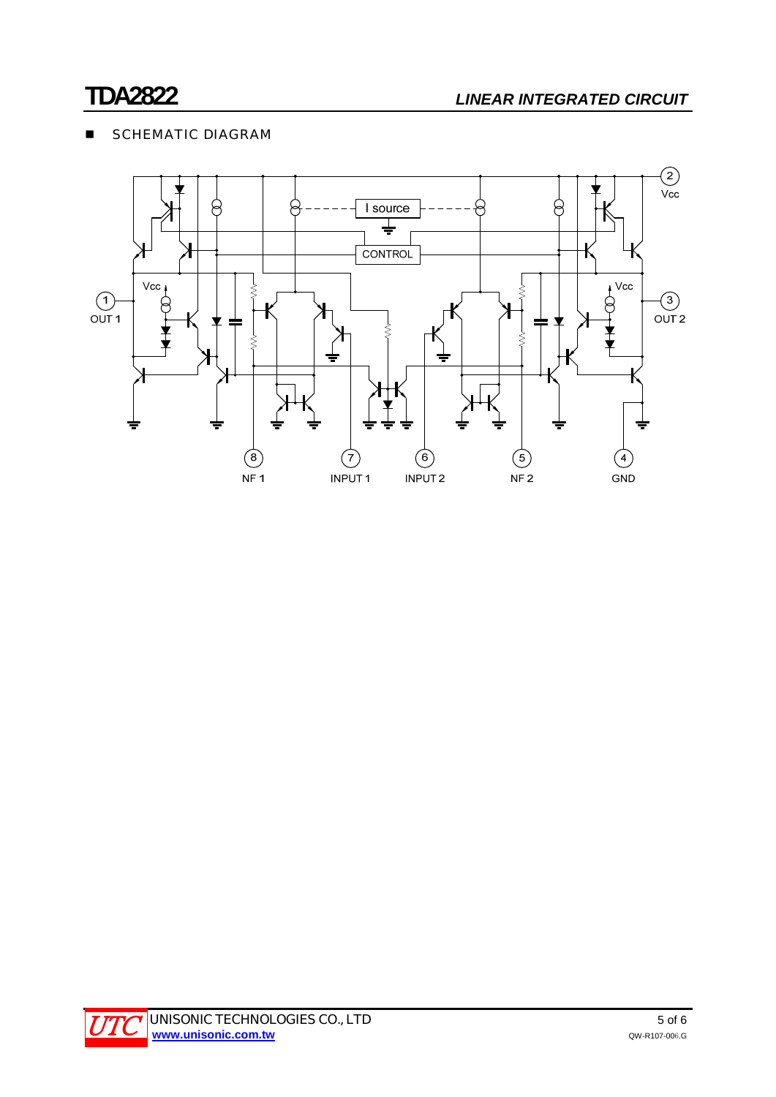# **SCHEMATIC DIAGRAM**